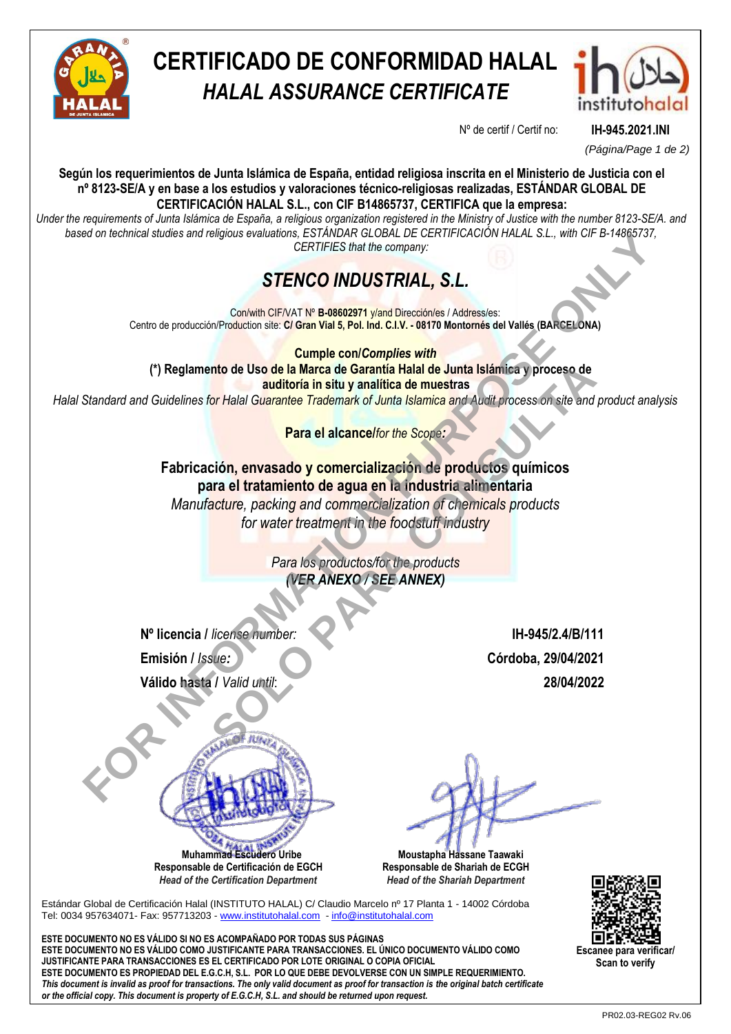

# **CERTIFICADO DE CONFORMIDAD HALAL** *HALAL ASSURANCE CERTIFICATE*



Nº de certif / Certif no: **IH-945.2021.INI**

*(Página/Page 1 de 2)*

**Según los requerimientos de Junta Islámica de España, entidad religiosa inscrita en el Ministerio de Justicia con el nº 8123-SE/A y en base a los estudios y valoraciones técnico-religiosas realizadas, ESTÁNDAR GLOBAL DE CERTIFICACIÓN HALAL S.L., con CIF B14865737, CERTIFICA que la empresa:**

*Under the requirements of Junta Islámica de España, a religious organization registered in the Ministry of Justice with the number 8123-SE/A. and based on technical studies and religious evaluations, ESTÁNDAR GLOBAL DE CERTIFICACIÓN HALAL S.L., with CIF B-14865737, CERTIFIES that the company:*

## *STENCO INDUSTRIAL, S.L.*

Con/with CIF/VAT Nº **B-08602971** y/and Dirección/es / Address/es: Centro de producción/Production site: **C/ Gran Vial 5, Pol. Ind. C.I.V. - 08170 Montornés del Vallés (BARCELONA)**

**Cumple con/***Complies with* **(\*) Reglamento de Uso de la Marca de Garantía Halal de Junta Islámica y proceso de auditoría in situ y analítica de muestras**

*Halal Standard and Guidelines for Halal Guarantee Trademark of Junta Islamica and Audit process on site and product analysis*

**Para el alcance/***for the Scope:*

**Fabricación, envasado y comercialización de productos químicos para el tratamiento de agua en la industria alimentaria** *Manufacture, packing and commercialization of chemicals products for water treatment in the foodstuff industry* FOR THE REAL CORRECT AND CONDUCT CONTROL CONTROL CONTROL CONTROL CONDUCTS CONDUCTS TO THE CONDUCTS CONDUCTS TO THE CONDUCTS OF THE CONDUCTS OF THE CONDUCTS OF THE CONDUCTS OF THE CONDUCTS OF THE CONDUCTS OF THE CONDUCTS OF Into de Uso de la Marca de Garantía Halal de Junta Islámica y proceso de<br>
auditoria in situ y analítica de muestras<br>
for Halal Guarantee Trademark of Junta Islamica and Audit process on site and<br>
Para el alcancelfor the Sc

*Para los productos/for the products (VER ANEXO / SEE ANNEX)*

**Nº licencia /** *license number:* **IH-945/2.4/B/111 Emisión /** *Issue:* **Córdoba, 29/04/2021 Válido hasta /** *Valid until*: **28/04/2022**

 **Muhammad Escudero Uribe**

**Responsable de Certificación de EGCH**  *Head of the Certification Department*

 **Moustapha Hassane Taawaki Responsable de Shariah de ECGH** *Head of the Shariah Department*

Estándar Global de Certificación Halal (INSTITUTO HALAL) C/ Claudio Marcelo nº 17 Planta 1 - 14002 Córdoba Tel: 0034 957634071- Fax: 957713203 - www.institutohalal.com - info@institutohalal.com

**ESTE DOCUMENTO NO ES VÁLIDO SI NO ES ACOMPAÑADO POR TODAS SUS PÁGINAS ESTE DOCUMENTO NO ES VÁLIDO COMO JUSTIFICANTE PARA TRANSACCIONES. EL ÚNICO DOCUMENTO VÁLIDO COMO JUSTIFICANTE PARA TRANSACCIONES ES EL CERTIFICADO POR LOTE ORIGINAL O COPIA OFICIAL ESTE DOCUMENTO ES PROPIEDAD DEL E.G.C.H, S.L. POR LO QUE DEBE DEVOLVERSE CON UN SIMPLE REQUERIMIENTO.** *This document is invalid as proof for transactions. The only valid document as proof for transaction is the original batch certificate or the official copy. This document is property of E.G.C.H, S.L. and should be returned upon request.*